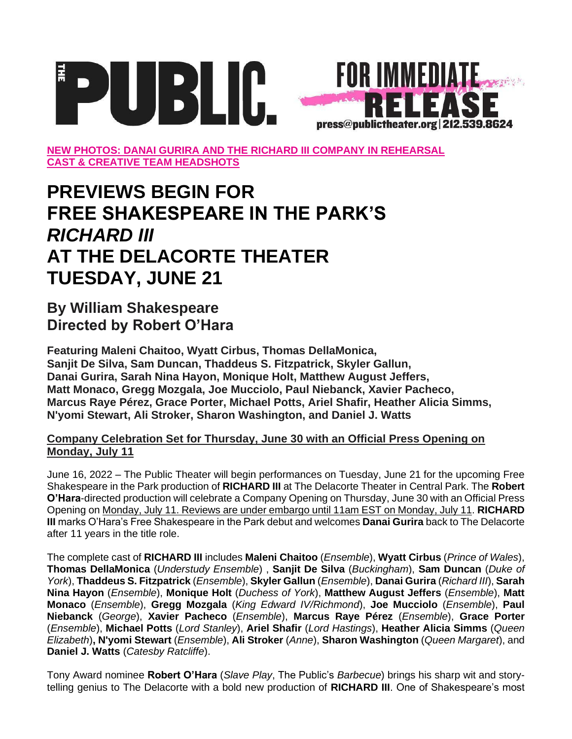

**[NEW PHOTOS: DANAI GURIRA AND THE RICHARD III COMPANY IN REHEARSAL](https://publictheater.org/about/press/21-22/richard-iii) [CAST & CREATIVE TEAM HEADSHOTS](https://www.dropbox.com/sh/iaplkpb6q6my0lh/AAASvPnyFBolciQ-na37TnvUa?dl=0)**

# **PREVIEWS BEGIN FOR FREE SHAKESPEARE IN THE PARK'S**  *RICHARD III* **AT THE DELACORTE THEATER TUESDAY, JUNE 21**

# **By William Shakespeare Directed by Robert O'Hara**

**Featuring Maleni Chaitoo, Wyatt Cirbus, Thomas DellaMonica, Sanjit De Silva, Sam Duncan, Thaddeus S. Fitzpatrick, Skyler Gallun, Danai Gurira, Sarah Nina Hayon, Monique Holt, Matthew August Jeffers, Matt Monaco, Gregg Mozgala, Joe Mucciolo, Paul Niebanck, Xavier Pacheco, Marcus Raye Pérez, Grace Porter, Michael Potts, Ariel Shafir, Heather Alicia Simms, N'yomi Stewart, Ali Stroker, Sharon Washington, and Daniel J. Watts**

## **Company Celebration Set for Thursday, June 30 with an Official Press Opening on Monday, July 11**

June 16, 2022 – The Public Theater will begin performances on Tuesday, June 21 for the upcoming Free Shakespeare in the Park production of **RICHARD III** at The Delacorte Theater in Central Park. The **Robert O'Hara**-directed production will celebrate a Company Opening on Thursday, June 30 with an Official Press Opening on Monday, July 11. Reviews are under embargo until 11am EST on Monday, July 11. **RICHARD III** marks O'Hara's Free Shakespeare in the Park debut and welcomes **Danai Gurira** back to The Delacorte after 11 years in the title role.

The complete cast of **RICHARD III** includes **Maleni Chaitoo** (*Ensemble*), **Wyatt Cirbus** (*Prince of Wales*), **Thomas DellaMonica** (*Understudy Ensemble*) , **Sanjit De Silva** (*Buckingham*), **Sam Duncan** (*Duke of York*), **Thaddeus S. Fitzpatrick** (*Ensemble*), **Skyler Gallun** (*Ensemble*), **Danai Gurira** (*Richard III*), **Sarah Nina Hayon** (*Ensemble*), **Monique Holt** (*Duchess of York*), **Matthew August Jeffers** (*Ensemble*), **Matt Monaco** (*Ensemble*), **Gregg Mozgala** (*King Edward IV/Richmond*), **Joe Mucciolo** (*Ensemble*), **Paul Niebanck** (*George*), **Xavier Pacheco** (*Ensemble*), **Marcus Raye Pérez** (*Ensemble*), **Grace Porter**  (*Ensemble*), **Michael Potts** (*Lord Stanley*), **Ariel Shafir** (*Lord Hastings*), **Heather Alicia Simms** (*Queen Elizabeth*)**, N'yomi Stewart** (*Ensemble*), **Ali Stroker** (*Anne*), **Sharon Washington** (*Queen Margaret*), and **Daniel J. Watts** (*Catesby Ratcliffe*).

Tony Award nominee **Robert O'Hara** (*Slave Play*, The Public's *Barbecue*) brings his sharp wit and storytelling genius to The Delacorte with a bold new production of **RICHARD III**. One of Shakespeare's most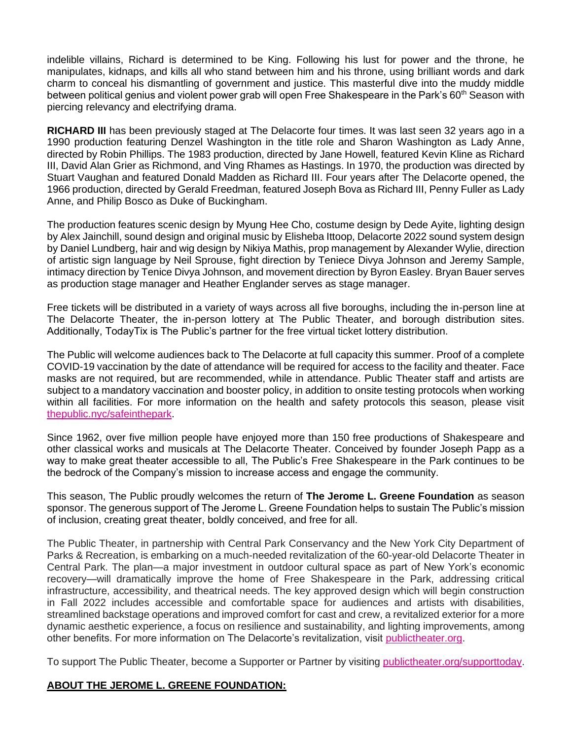indelible villains, Richard is determined to be King. Following his lust for power and the throne, he manipulates, kidnaps, and kills all who stand between him and his throne, using brilliant words and dark charm to conceal his dismantling of government and justice. This masterful dive into the muddy middle between political genius and violent power grab will open Free Shakespeare in the Park's 60<sup>th</sup> Season with piercing relevancy and electrifying drama.

**RICHARD III** has been previously staged at The Delacorte four times. It was last seen 32 years ago in a 1990 production featuring Denzel Washington in the title role and Sharon Washington as Lady Anne, directed by Robin Phillips. The 1983 production, directed by Jane Howell, featured Kevin Kline as Richard III, David Alan Grier as Richmond, and Ving Rhames as Hastings. In 1970, the production was directed by Stuart Vaughan and featured Donald Madden as Richard III. Four years after The Delacorte opened, the 1966 production, directed by Gerald Freedman, featured Joseph Bova as Richard III, Penny Fuller as Lady Anne, and Philip Bosco as Duke of Buckingham.

The production features scenic design by Myung Hee Cho, costume design by Dede Ayite, lighting design by Alex Jainchill, sound design and original music by Elisheba Ittoop, Delacorte 2022 sound system design by Daniel Lundberg, hair and wig design by Nikiya Mathis, prop management by Alexander Wylie, direction of artistic sign language by Neil Sprouse, fight direction by Teniece Divya Johnson and Jeremy Sample, intimacy direction by Tenice Divya Johnson, and movement direction by Byron Easley. Bryan Bauer serves as production stage manager and Heather Englander serves as stage manager.

Free tickets will be distributed in a variety of ways across all five boroughs, including the in-person line at The Delacorte Theater, the in-person lottery at The Public Theater, and borough distribution sites. Additionally, TodayTix is The Public's partner for the free virtual ticket lottery distribution.

The Public will welcome audiences back to The Delacorte at full capacity this summer. Proof of a complete COVID-19 vaccination by the date of attendance will be required for access to the facility and theater. Face masks are not required, but are recommended, while in attendance. Public Theater staff and artists are subject to a mandatory vaccination and booster policy, in addition to onsite testing protocols when working within all facilities. For more information on the health and safety protocols this season, please visi[t](http://thepublic.nyc/safeinthepark) [thepublic.nyc/safeinthepark.](http://thepublic.nyc/safeinthepark)

Since 1962, over five million people have enjoyed more than 150 free productions of Shakespeare and other classical works and musicals at The Delacorte Theater. Conceived by founder Joseph Papp as a way to make great theater accessible to all, The Public's Free Shakespeare in the Park continues to be the bedrock of the Company's mission to increase access and engage the community.

This season, The Public proudly welcomes the return of **The Jerome L. Greene Foundation** as season sponsor. The generous support of The Jerome L. Greene Foundation helps to sustain The Public's mission of inclusion, creating great theater, boldly conceived, and free for all.

The Public Theater, in partnership with Central Park Conservancy and the New York City Department of Parks & Recreation, is embarking on a much-needed revitalization of the 60-year-old Delacorte Theater in Central Park. The plan—a major investment in outdoor cultural space as part of New York's economic recovery—will dramatically improve the home of Free Shakespeare in the Park, addressing critical infrastructure, accessibility, and theatrical needs. The key approved design which will begin construction in Fall 2022 includes accessible and comfortable space for audiences and artists with disabilities, streamlined backstage operations and improved comfort for cast and crew, a revitalized exterior for a more dynamic aesthetic experience, a focus on resilience and sustainability, and lighting improvements, among other benefits. For more information on The Delacorte's revitalization, visit [publictheater.org.](https://publictheater.org/news-items/fall-2021/delacorte-theater-revitalization/)

To support The Public Theater, become a Supporter or Partner by visitin[g](http://publictheater.org/supporttoday) [publictheater.org/supporttoday.](http://publictheater.org/supporttoday)

### **ABOUT THE JEROME L. GREENE FOUNDATION:**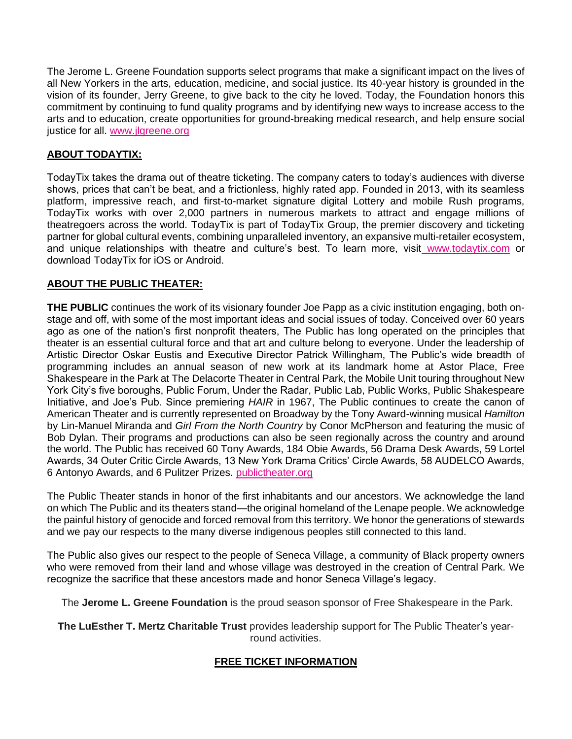The Jerome L. Greene Foundation supports select programs that make a significant impact on the lives of all New Yorkers in the arts, education, medicine, and social justice. Its 40-year history is grounded in the vision of its founder, Jerry Greene, to give back to the city he loved. Today, the Foundation honors this commitment by continuing to fund quality programs and by identifying new ways to increase access to the arts and to education, create opportunities for ground-breaking medical research, and help ensure social justice for all[.](http://www.jlgreene.org/) [www.jlgreene.org](http://www.jlgreene.org/)

### **ABOUT TODAYTIX:**

TodayTix takes the drama out of theatre ticketing. The company caters to today's audiences with diverse shows, prices that can't be beat, and a frictionless, highly rated app. Founded in 2013, with its seamless platform, impressive reach, and first-to-market signature digital Lottery and mobile Rush programs, TodayTix works with over 2,000 partners in numerous markets to attract and engage millions of theatregoers across the world. TodayTix is part of TodayTix Group, the premier discovery and ticketing partner for global cultural events, combining unparalleled inventory, an expansive multi-retailer ecosystem, and unique relationships with theatre and culture's best. To learn more, visi[t](http://www.todaytix.com/) [www.todaytix.com](http://www.todaytix.com/) or download TodayTix for iOS or Android.

#### **ABOUT THE PUBLIC THEATER:**

**THE PUBLIC** continues the work of its visionary founder Joe Papp as a civic institution engaging, both onstage and off, with some of the most important ideas and social issues of today. Conceived over 60 years ago as one of the nation's first nonprofit theaters, The Public has long operated on the principles that theater is an essential cultural force and that art and culture belong to everyone. Under the leadership of Artistic Director Oskar Eustis and Executive Director Patrick Willingham, The Public's wide breadth of programming includes an annual season of new work at its landmark home at Astor Place, Free Shakespeare in the Park at The Delacorte Theater in Central Park, the Mobile Unit touring throughout New York City's five boroughs, Public Forum, Under the Radar, Public Lab, Public Works, Public Shakespeare Initiative, and Joe's Pub. Since premiering *HAIR* in 1967, The Public continues to create the canon of American Theater and is currently represented on Broadway by the Tony Award-winning musical *Hamilton*  by Lin-Manuel Miranda and *Girl From the North Country* by Conor McPherson and featuring the music of Bob Dylan. Their programs and productions can also be seen regionally across the country and around the world. The Public has received 60 Tony Awards, 184 Obie Awards, 56 Drama Desk Awards, 59 Lortel Awards, 34 Outer Critic Circle Awards, 13 New York Drama Critics' Circle Awards, 58 AUDELCO Awards, 6 Antonyo Awards, and 6 Pulitzer Prizes[.](http://publictheater.org/) [publictheater.org](http://publictheater.org/)

The Public Theater stands in honor of the first inhabitants and our ancestors. We acknowledge the land on which The Public and its theaters stand—the original homeland of the Lenape people. We acknowledge the painful history of genocide and forced removal from this territory. We honor the generations of stewards and we pay our respects to the many diverse indigenous peoples still connected to this land.

The Public also gives our respect to the people of Seneca Village, a community of Black property owners who were removed from their land and whose village was destroyed in the creation of Central Park. We recognize the sacrifice that these ancestors made and honor Seneca Village's legacy.

The **Jerome L. Greene Foundation** is the proud season sponsor of Free Shakespeare in the Park.

**The LuEsther T. Mertz Charitable Trust** provides leadership support for The Public Theater's yearround activities.

#### **FREE TICKET INFORMATION**